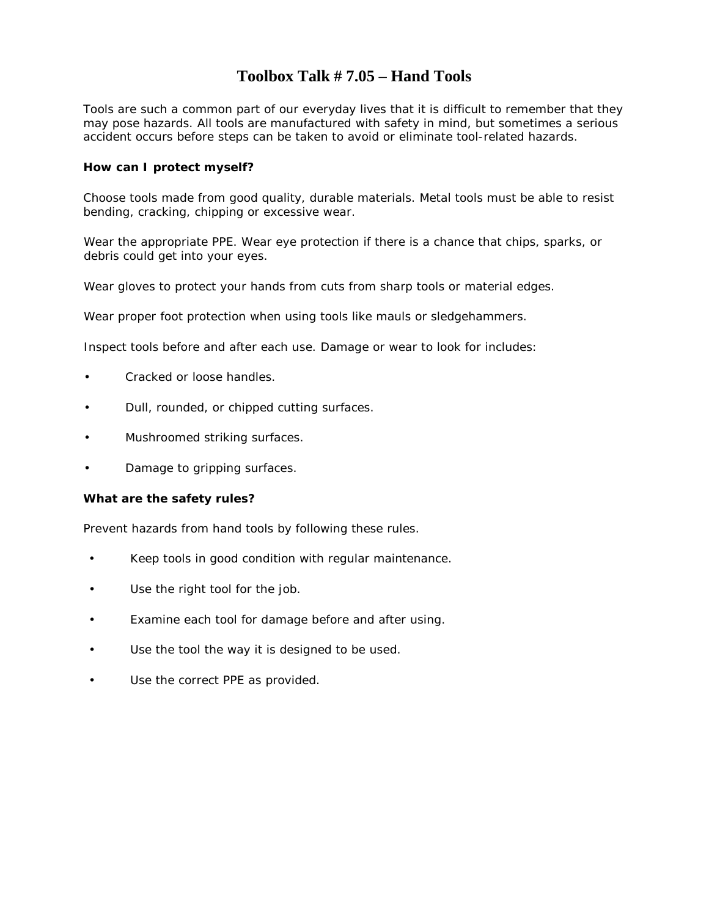### **Toolbox Talk # 7.05 – Hand Tools**

Tools are such a common part of our everyday lives that it is difficult to remember that they may pose hazards. All tools are manufactured with safety in mind, but sometimes a serious accident occurs before steps can be taken to avoid or eliminate tool-related hazards.

#### **How can I protect myself?**

Choose tools made from good quality, durable materials. Metal tools must be able to resist bending, cracking, chipping or excessive wear.

Wear the appropriate PPE. Wear eye protection if there is a chance that chips, sparks, or debris could get into your eyes.

Wear gloves to protect your hands from cuts from sharp tools or material edges.

Wear proper foot protection when using tools like mauls or sledgehammers.

Inspect tools before and after each use. Damage or wear to look for includes:

- Cracked or loose handles.
- Dull, rounded, or chipped cutting surfaces.
- Mushroomed striking surfaces.
- Damage to gripping surfaces.

#### **What are the safety rules?**

Prevent hazards from hand tools by following these rules.

- Keep tools in good condition with regular maintenance.
- Use the right tool for the job.
- Examine each tool for damage before and after using.
- Use the tool the way it is designed to be used.
- Use the correct PPE as provided.